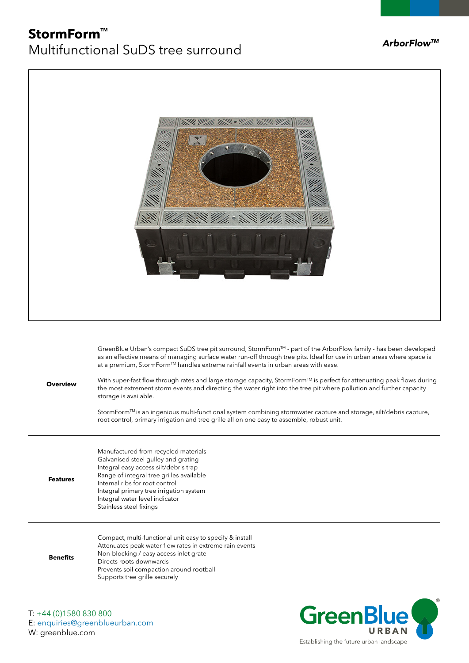## **StormForm™** Multifunctional SuDS tree surround *ArborFlowTM*



GreenBlue Urban's compact SuDS tree pit surround, StormFormTM - part of the ArborFlow family - has been developed as an effective means of managing surface water run-off through tree pits. Ideal for use in urban areas where space is at a premium, StormForm™ handles extreme rainfall events in urban areas with ease.

**Overview** With super-fast flow through rates and large storage capacity, StormForm™ is perfect for attenuating peak flows during the most extrement storm events and directing the water right into the tree pit where pollution and further capacity storage is available.

> StormForm™ is an ingenious multi-functional system combining stormwater capture and storage, silt/debris capture, root control, primary irrigation and tree grille all on one easy to assemble, robust unit.

| Features | Manufactured from recycled materials<br>Galvanised steel gulley and grating<br>Integral easy access silt/debris trap<br>Range of integral tree grilles available<br>Internal ribs for root control<br>Integral primary tree irrigation system<br>Integral water level indicator<br>Stainless steel fixings |
|----------|------------------------------------------------------------------------------------------------------------------------------------------------------------------------------------------------------------------------------------------------------------------------------------------------------------|
|----------|------------------------------------------------------------------------------------------------------------------------------------------------------------------------------------------------------------------------------------------------------------------------------------------------------------|

**Benefits** Compact, multi-functional unit easy to specify & install Attenuates peak water flow rates in extreme rain events Non-blocking / easy access inlet grate Directs roots downwards Prevents soil compaction around rootball Supports tree grille securely

T: +44 (0)1580 830 800 E: enquiries@greenblueurban.com W: greenblue.com